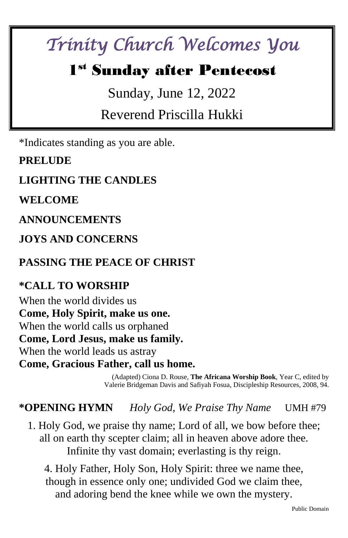# *Trinity Church Welcomes You*

## 1 st Sunday after Pentecost

Sunday, June 12, 2022

Reverend Priscilla Hukki

\*Indicates standing as you are able.

**PRELUDE** 

**LIGHTING THE CANDLES**

**WELCOME** 

**ANNOUNCEMENTS**

**JOYS AND CONCERNS**

**PASSING THE PEACE OF CHRIST**

#### **\*CALL TO WORSHIP**

When the world divides us **Come, Holy Spirit, make us one.** When the world calls us orphaned **Come, Lord Jesus, make us family.** When the world leads us astray **Come, Gracious Father, call us home.**

> (Adapted) Ciona D. Rouse, **The Africana Worship Book**, Year C, edited by Valerie Bridgeman Davis and Safiyah Fosua, Discipleship Resources, 2008, 94.

**\*OPENING HYMN** *Holy God, We Praise Thy Name* UMH #79

1. Holy God, we praise thy name; Lord of all, we bow before thee; all on earth thy scepter claim; all in heaven above adore thee. Infinite thy vast domain; everlasting is thy reign.

4. Holy Father, Holy Son, Holy Spirit: three we name thee, though in essence only one; undivided God we claim thee, and adoring bend the knee while we own the mystery.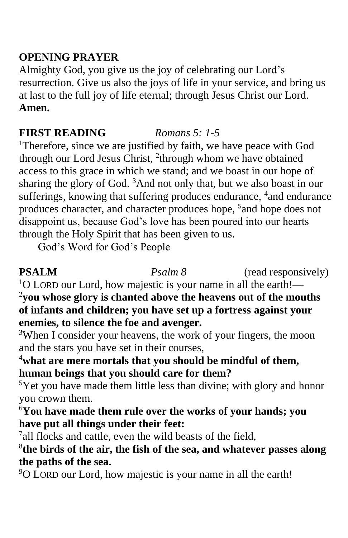#### **OPENING PRAYER**

Almighty God, you give us the joy of celebrating our Lord's resurrection. Give us also the joys of life in your service, and bring us at last to the full joy of life eternal; through Jesus Christ our Lord. **Amen.**

#### **FIRST READING** *Romans 5: 1-5*

<sup>1</sup>Therefore, since we are justified by faith, we have peace with God through our Lord Jesus Christ, <sup>2</sup>through whom we have obtained access to this grace in which we stand; and we boast in our hope of sharing the glory of God. <sup>3</sup>And not only that, but we also boast in our sufferings, knowing that suffering produces endurance, <sup>4</sup> and endurance produces character, and character produces hope, <sup>5</sup> and hope does not disappoint us, because God's love has been poured into our hearts through the Holy Spirit that has been given to us.

God's Word for God's People

**PSALM** *Psalm 8* (read responsively)

 $1$ O LORD our Lord, how majestic is your name in all the earth!— <sup>2</sup>**you whose glory is chanted above the heavens out of the mouths of infants and children; you have set up a fortress against your enemies, to silence the foe and avenger.**

<sup>3</sup>When I consider your heavens, the work of your fingers, the moon and the stars you have set in their courses,

#### <sup>4</sup>**what are mere mortals that you should be mindful of them, human beings that you should care for them?**

 $5$ Yet you have made them little less than divine; with glory and honor you crown them.

<sup>6</sup>**You have made them rule over the works of your hands; you have put all things under their feet:**

<sup>7</sup>all flocks and cattle, even the wild beasts of the field,

8 **the birds of the air, the fish of the sea, and whatever passes along the paths of the sea.**

<sup>9</sup>O LORD our Lord, how majestic is your name in all the earth!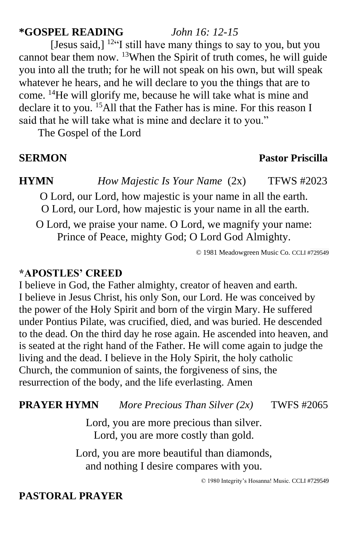#### **\*GOSPEL READING** *John 16: 12-15*

[Jesus said,]  $12 \cdot$  [I still have many things to say to you, but you cannot bear them now. <sup>13</sup>When the Spirit of truth comes, he will guide you into all the truth; for he will not speak on his own, but will speak whatever he hears, and he will declare to you the things that are to come. <sup>14</sup>He will glorify me, because he will take what is mine and declare it to you. <sup>15</sup>All that the Father has is mine. For this reason I said that he will take what is mine and declare it to you."

The Gospel of the Lord

#### **SERMON Pastor Priscilla**

**HYMN** *How Majestic Is Your Name* (2x) TFWS #2023

O Lord, our Lord, how majestic is your name in all the earth. O Lord, our Lord, how majestic is your name in all the earth.

O Lord, we praise your name. O Lord, we magnify your name: Prince of Peace, mighty God; O Lord God Almighty.

© 1981 Meadowgreen Music Co. CCLI #729549

#### **\*APOSTLES' CREED**

I believe in God, the Father almighty, creator of heaven and earth. I believe in Jesus Christ, his only Son, our Lord. He was conceived by the power of the Holy Spirit and born of the virgin Mary. He suffered under Pontius Pilate, was crucified, died, and was buried. He descended to the dead. On the third day he rose again. He ascended into heaven, and is seated at the right hand of the Father. He will come again to judge the living and the dead. I believe in the Holy Spirit, the holy catholic Church, the communion of saints, the forgiveness of sins, the resurrection of the body, and the life everlasting. Amen

#### **PRAYER HYMN** *More Precious Than Silver (2x)* TWFS #2065

Lord, you are more precious than silver. Lord, you are more costly than gold.

Lord, you are more beautiful than diamonds, and nothing I desire compares with you.

© 1980 Integrity's Hosanna! Music. CCLI #729549

#### **PASTORAL PRAYER**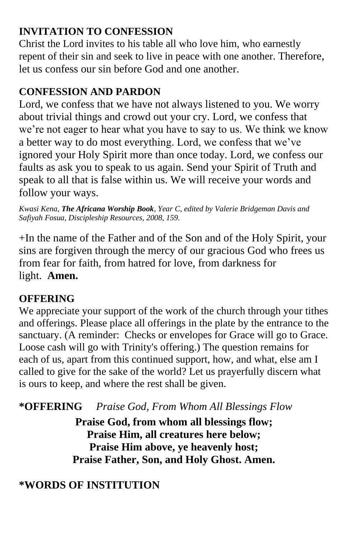### **INVITATION TO CONFESSION**

Christ the Lord invites to his table all who love him, who earnestly repent of their sin and seek to live in peace with one another. Therefore, let us confess our sin before God and one another.

### **CONFESSION AND PARDON**

Lord, we confess that we have not always listened to you. We worry about trivial things and crowd out your cry. Lord, we confess that we're not eager to hear what you have to say to us. We think we know a better way to do most everything. Lord, we confess that we've ignored your Holy Spirit more than once today. Lord, we confess our faults as ask you to speak to us again. Send your Spirit of Truth and speak to all that is false within us. We will receive your words and follow your ways.

*Kwasi Kena, The Africana Worship Book, Year C, edited by Valerie Bridgeman Davis and Safiyah Fosua, Discipleship Resources, 2008, 159.*

+In the name of the Father and of the Son and of the Holy Spirit, your sins are forgiven through the mercy of our gracious God who frees us from fear for faith, from hatred for love, from darkness for light. **Amen.**

### **OFFERING**

We appreciate your support of the work of the church through your tithes and offerings. Please place all offerings in the plate by the entrance to the sanctuary. (A reminder: Checks or envelopes for Grace will go to Grace. Loose cash will go with Trinity's offering.) The question remains for each of us, apart from this continued support, how, and what, else am I called to give for the sake of the world? Let us prayerfully discern what is ours to keep, and where the rest shall be given.

**\*OFFERING** *Praise God, From Whom All Blessings Flow* 

**Praise God, from whom all blessings flow; Praise Him, all creatures here below; Praise Him above, ye heavenly host; Praise Father, Son, and Holy Ghost. Amen.**

### **\*WORDS OF INSTITUTION**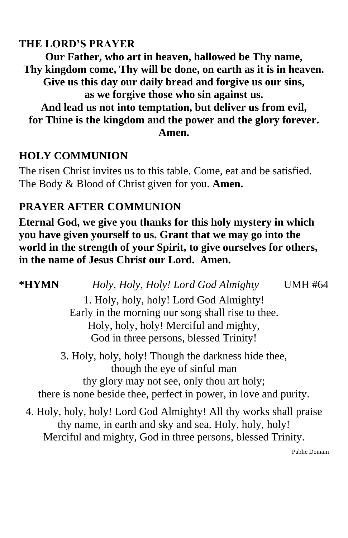#### **THE LORD'S PRAYER**

**Our Father, who art in heaven, hallowed be Thy name, Thy kingdom come, Thy will be done, on earth as it is in heaven. Give us this day our daily bread and forgive us our sins, as we forgive those who sin against us. And lead us not into temptation, but deliver us from evil, for Thine is the kingdom and the power and the glory forever. Amen.**

#### **HOLY COMMUNION**

The risen Christ invites us to this table. Come, eat and be satisfied. The Body & Blood of Christ given for you. **Amen.**

#### **PRAYER AFTER COMMUNION**

**Eternal God, we give you thanks for this holy mystery in which you have given yourself to us. Grant that we may go into the world in the strength of your Spirit, to give ourselves for others, in the name of Jesus Christ our Lord. Amen.**

**\*HYMN** *Holy, Holy, Holy! Lord God Almighty* UMH #64 1. Holy, holy, holy! Lord God Almighty! Early in the morning our song shall rise to thee. Holy, holy, holy! Merciful and mighty, God in three persons, blessed Trinity! 3. Holy, holy, holy! Though the darkness hide thee, though the eye of sinful man thy glory may not see, only thou art holy; there is none beside thee, perfect in power, in love and purity. 4. Holy, holy, holy! Lord God Almighty! All thy works shall praise thy name, in earth and sky and sea. Holy, holy, holy! Merciful and mighty, God in three persons, blessed Trinity.

Public Domain